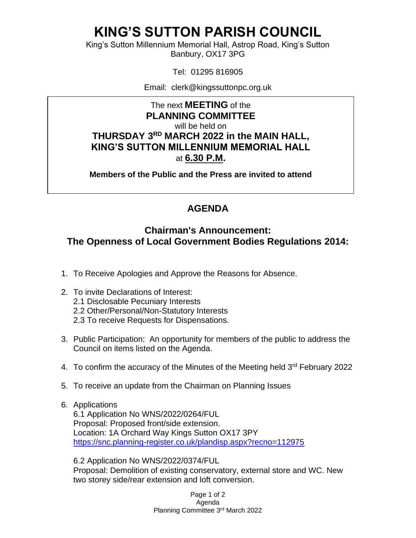# **KING'S SUTTON PARISH COUNCIL**

King's Sutton Millennium Memorial Hall, Astrop Road, King's Sutton Banbury, OX17 3PG

Tel: 01295 816905

Email: clerk@kingssuttonpc.org.uk

The next **MEETING** of the **PLANNING COMMITTEE** will be held on **THURSDAY 3 RD MARCH 2022 in the MAIN HALL, KING'S SUTTON MILLENNIUM MEMORIAL HALL** at **6.30 P.M.** 

**Members of the Public and the Press are invited to attend** 

## **AGENDA**

### **Chairman's Announcement: The Openness of Local Government Bodies Regulations 2014:**

- 1. To Receive Apologies and Approve the Reasons for Absence.
- 2. To invite Declarations of Interest:
	- 2.1 Disclosable Pecuniary Interests
	- 2.2 Other/Personal/Non-Statutory Interests
	- 2.3 To receive Requests for Dispensations.
- 3. Public Participation: An opportunity for members of the public to address the Council on items listed on the Agenda.
- 4. To confirm the accuracy of the Minutes of the Meeting held 3<sup>rd</sup> February 2022
- 5. To receive an update from the Chairman on Planning Issues
- 6. Applications

6.1 Application No WNS/2022/0264/FUL Proposal: Proposed front/side extension. Location: 1A Orchard Way Kings Sutton OX17 3PY <https://snc.planning-register.co.uk/plandisp.aspx?recno=112975>

6.2 Application No WNS/2022/0374/FUL Proposal: Demolition of existing conservatory, external store and WC. New two storey side/rear extension and loft conversion.